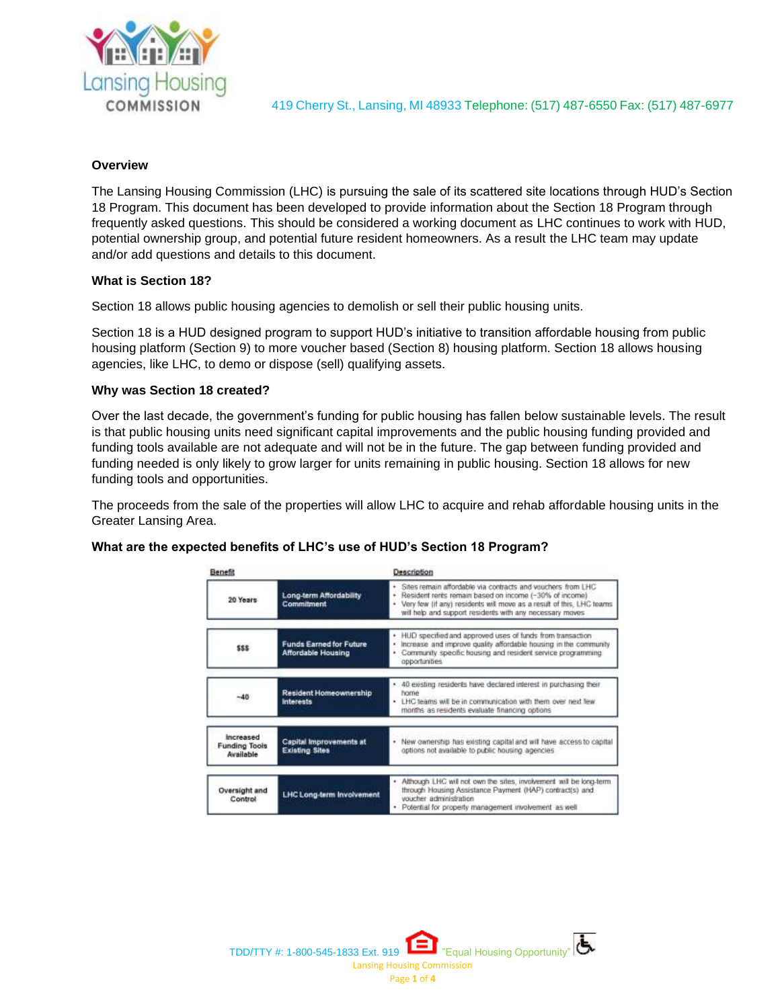

419 Cherry St., Lansing, MI 48933 Telephone: (517) 487-6550 Fax: (517) 487-6977

# **Overview**

The Lansing Housing Commission (LHC) is pursuing the sale of its scattered site locations through HUD's Section 18 Program. This document has been developed to provide information about the Section 18 Program through frequently asked questions. This should be considered a working document as LHC continues to work with HUD, potential ownership group, and potential future resident homeowners. As a result the LHC team may update and/or add questions and details to this document.

# **What is Section 18?**

Section 18 allows public housing agencies to demolish or sell their public housing units.

Section 18 is a HUD designed program to support HUD's initiative to transition affordable housing from public housing platform (Section 9) to more voucher based (Section 8) housing platform. Section 18 allows housing agencies, like LHC, to demo or dispose (sell) qualifying assets.

# **Why was Section 18 created?**

Over the last decade, the government's funding for public housing has fallen below sustainable levels. The result is that public housing units need significant capital improvements and the public housing funding provided and funding tools available are not adequate and will not be in the future. The gap between funding provided and funding needed is only likely to grow larger for units remaining in public housing. Section 18 allows for new funding tools and opportunities.

The proceeds from the sale of the properties will allow LHC to acquire and rehab affordable housing units in the Greater Lansing Area.

## **What are the expected benefits of LHC's use of HUD's Section 18 Program?**

| Benefit                                        |                                                             | Description                                                                                                                                                                                                                                               |
|------------------------------------------------|-------------------------------------------------------------|-----------------------------------------------------------------------------------------------------------------------------------------------------------------------------------------------------------------------------------------------------------|
| 20 Years                                       | Long-term Affordability<br>Commitment                       | Sites remain affordable via contracts and vouchers from LHC<br>Resident rents remain based on income (-30% of income)<br>Very few (if any) residents will move as a result of this, LHC teams<br>will help and support residents with any necessary moves |
| SSS:                                           | <b>Funds Earned for Future</b><br><b>Affordable Housing</b> | HUD specified and approved uses of funds from transaction<br>۰<br>Increase and improve quality affordable housing in the community<br>¥<br>Community specific housing and resident service programming.<br>opportunities                                  |
| $-40$                                          | Resident Homeownership<br><b>Interests</b>                  | 40 existing residents have declared interest in purchasing their<br>٠<br>home<br>. LHC teams will be in communication with them over next few<br>months as residents evaluate financing options                                                           |
| increased<br><b>Funding Tools</b><br>Available | Capital Improvements at<br><b>Existing Sites</b>            | New ownership has existing capital and will have access to capital<br>k.<br>options not available to public housing agencies                                                                                                                              |
| Oversight and<br>Control                       | LHC Long-term Involvement                                   | . Although LHC will not own the sites, involvement will be long-term.<br>through Housing Assistance Payment (HAP) contract(s) and<br>wischer administration<br>· Potential for property management involvement as well.                                   |

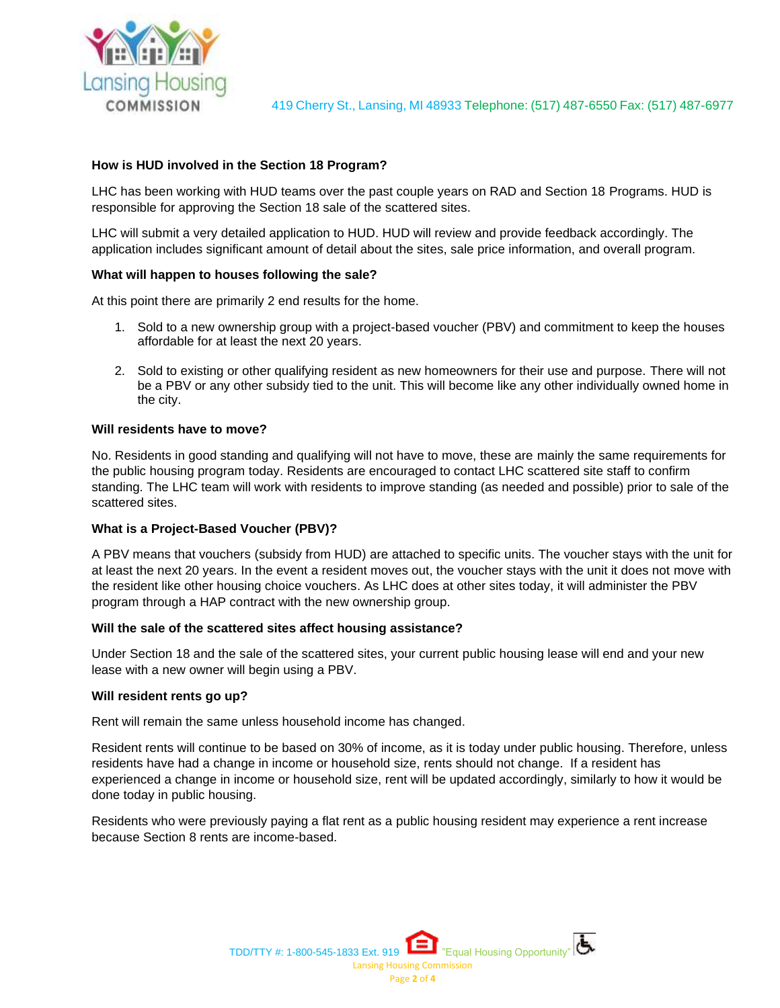

# **How is HUD involved in the Section 18 Program?**

LHC has been working with HUD teams over the past couple years on RAD and Section 18 Programs. HUD is responsible for approving the Section 18 sale of the scattered sites.

LHC will submit a very detailed application to HUD. HUD will review and provide feedback accordingly. The application includes significant amount of detail about the sites, sale price information, and overall program.

## **What will happen to houses following the sale?**

At this point there are primarily 2 end results for the home.

- 1. Sold to a new ownership group with a project-based voucher (PBV) and commitment to keep the houses affordable for at least the next 20 years.
- 2. Sold to existing or other qualifying resident as new homeowners for their use and purpose. There will not be a PBV or any other subsidy tied to the unit. This will become like any other individually owned home in the city.

#### **Will residents have to move?**

No. Residents in good standing and qualifying will not have to move, these are mainly the same requirements for the public housing program today. Residents are encouraged to contact LHC scattered site staff to confirm standing. The LHC team will work with residents to improve standing (as needed and possible) prior to sale of the scattered sites.

## **What is a Project-Based Voucher (PBV)?**

A PBV means that vouchers (subsidy from HUD) are attached to specific units. The voucher stays with the unit for at least the next 20 years. In the event a resident moves out, the voucher stays with the unit it does not move with the resident like other housing choice vouchers. As LHC does at other sites today, it will administer the PBV program through a HAP contract with the new ownership group.

#### **Will the sale of the scattered sites affect housing assistance?**

Under Section 18 and the sale of the scattered sites, your current public housing lease will end and your new lease with a new owner will begin using a PBV.

#### **Will resident rents go up?**

Rent will remain the same unless household income has changed.

Resident rents will continue to be based on 30% of income, as it is today under public housing. Therefore, unless residents have had a change in income or household size, rents should not change. If a resident has experienced a change in income or household size, rent will be updated accordingly, similarly to how it would be done today in public housing.

Residents who were previously paying a flat rent as a public housing resident may experience a rent increase because Section 8 rents are income-based.

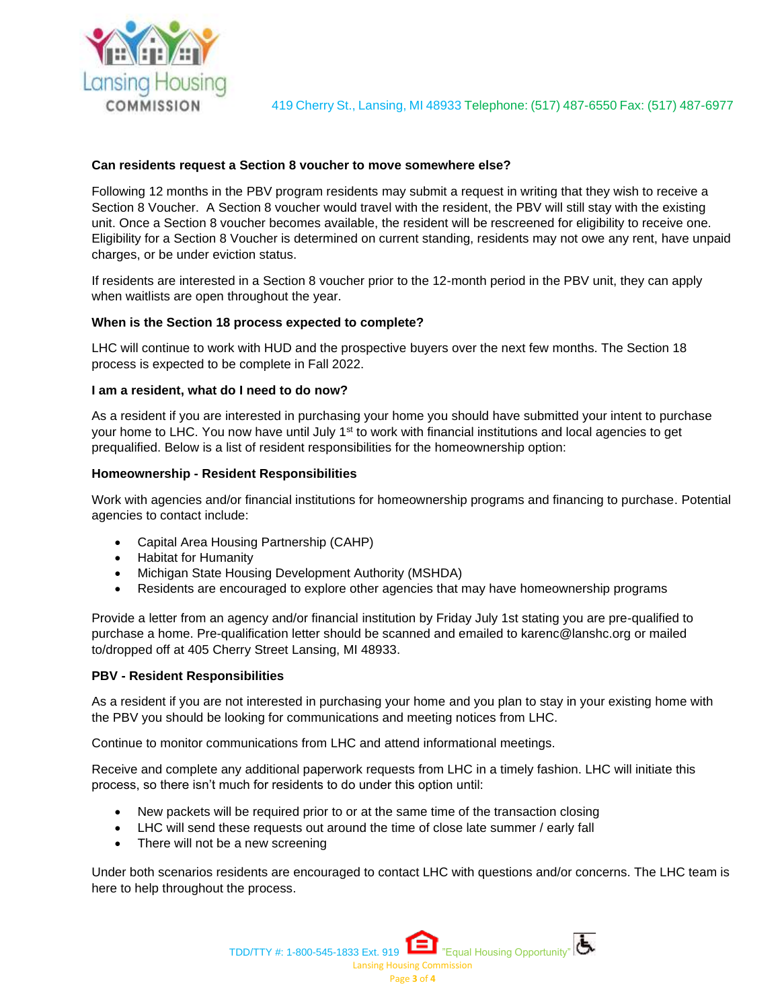

## **Can residents request a Section 8 voucher to move somewhere else?**

Following 12 months in the PBV program residents may submit a request in writing that they wish to receive a Section 8 Voucher. A Section 8 voucher would travel with the resident, the PBV will still stay with the existing unit. Once a Section 8 voucher becomes available, the resident will be rescreened for eligibility to receive one. Eligibility for a Section 8 Voucher is determined on current standing, residents may not owe any rent, have unpaid charges, or be under eviction status.

If residents are interested in a Section 8 voucher prior to the 12-month period in the PBV unit, they can apply when waitlists are open throughout the year.

# **When is the Section 18 process expected to complete?**

LHC will continue to work with HUD and the prospective buyers over the next few months. The Section 18 process is expected to be complete in Fall 2022.

## **I am a resident, what do I need to do now?**

As a resident if you are interested in purchasing your home you should have submitted your intent to purchase your home to LHC. You now have until July 1<sup>st</sup> to work with financial institutions and local agencies to get prequalified. Below is a list of resident responsibilities for the homeownership option:

## **Homeownership - Resident Responsibilities**

Work with agencies and/or financial institutions for homeownership programs and financing to purchase. Potential agencies to contact include:

- Capital Area Housing Partnership (CAHP)
- Habitat for Humanity
- Michigan State Housing Development Authority (MSHDA)
- Residents are encouraged to explore other agencies that may have homeownership programs

Provide a letter from an agency and/or financial institution by Friday July 1st stating you are pre-qualified to purchase a home. Pre-qualification letter should be scanned and emailed to karenc@lanshc.org or mailed to/dropped off at 405 Cherry Street Lansing, MI 48933.

## **PBV - Resident Responsibilities**

As a resident if you are not interested in purchasing your home and you plan to stay in your existing home with the PBV you should be looking for communications and meeting notices from LHC.

Continue to monitor communications from LHC and attend informational meetings.

Receive and complete any additional paperwork requests from LHC in a timely fashion. LHC will initiate this process, so there isn't much for residents to do under this option until:

- New packets will be required prior to or at the same time of the transaction closing
- LHC will send these requests out around the time of close late summer / early fall
- There will not be a new screening

Under both scenarios residents are encouraged to contact LHC with questions and/or concerns. The LHC team is here to help throughout the process.